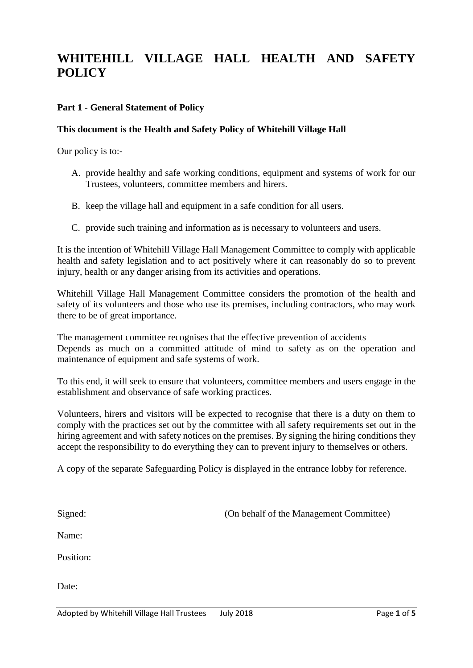# **WHITEHILL VILLAGE HALL HEALTH AND SAFETY POLICY**

#### **Part 1 - General Statement of Policy**

#### **This document is the Health and Safety Policy of Whitehill Village Hall**

Our policy is to:-

- A. provide healthy and safe working conditions, equipment and systems of work for our Trustees, volunteers, committee members and hirers.
- B. keep the village hall and equipment in a safe condition for all users.
- C. provide such training and information as is necessary to volunteers and users.

It is the intention of Whitehill Village Hall Management Committee to comply with applicable health and safety legislation and to act positively where it can reasonably do so to prevent injury, health or any danger arising from its activities and operations.

Whitehill Village Hall Management Committee considers the promotion of the health and safety of its volunteers and those who use its premises, including contractors, who may work there to be of great importance.

The management committee recognises that the effective prevention of accidents Depends as much on a committed attitude of mind to safety as on the operation and maintenance of equipment and safe systems of work.

To this end, it will seek to ensure that volunteers, committee members and users engage in the establishment and observance of safe working practices.

Volunteers, hirers and visitors will be expected to recognise that there is a duty on them to comply with the practices set out by the committee with all safety requirements set out in the hiring agreement and with safety notices on the premises. By signing the hiring conditions they accept the responsibility to do everything they can to prevent injury to themselves or others.

A copy of the separate Safeguarding Policy is displayed in the entrance lobby for reference.

Signed: (On behalf of the Management Committee)

Name:

Position:

Date: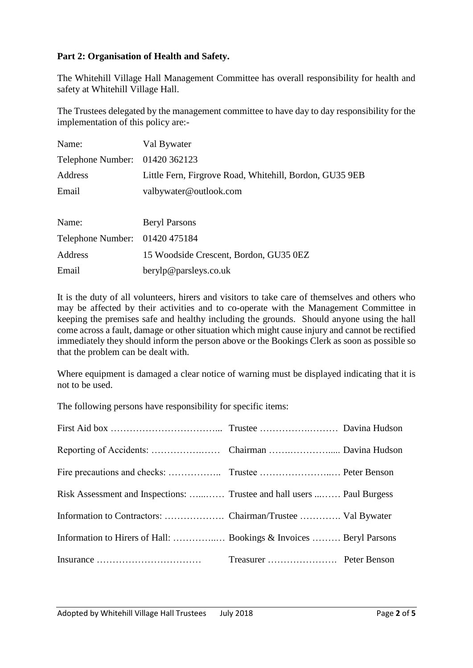## **Part 2: Organisation of Health and Safety.**

The Whitehill Village Hall Management Committee has overall responsibility for health and safety at Whitehill Village Hall.

The Trustees delegated by the management committee to have day to day responsibility for the implementation of this policy are:-

| Name:                          | Val Bywater                                             |  |
|--------------------------------|---------------------------------------------------------|--|
| Telephone Number: 01420 362123 |                                                         |  |
| Address                        | Little Fern, Firgrove Road, Whitehill, Bordon, GU35 9EB |  |
| Email                          | valbywater@outlook.com                                  |  |
|                                |                                                         |  |
| Name:                          | <b>Beryl Parsons</b>                                    |  |
| Telephone Number: 01420 475184 |                                                         |  |
| Address                        | 15 Woodside Crescent, Bordon, GU35 0EZ                  |  |
| Email                          | berylp@parsleys.co.uk                                   |  |

It is the duty of all volunteers, hirers and visitors to take care of themselves and others who may be affected by their activities and to co-operate with the Management Committee in keeping the premises safe and healthy including the grounds. Should anyone using the hall come across a fault, damage or other situation which might cause injury and cannot be rectified immediately they should inform the person above or the Bookings Clerk as soon as possible so that the problem can be dealt with.

Where equipment is damaged a clear notice of warning must be displayed indicating that it is not to be used.

The following persons have responsibility for specific items:

| Risk Assessment and Inspections:  Trustee and hall users  Paul Burgess |  |
|------------------------------------------------------------------------|--|
|                                                                        |  |
|                                                                        |  |
|                                                                        |  |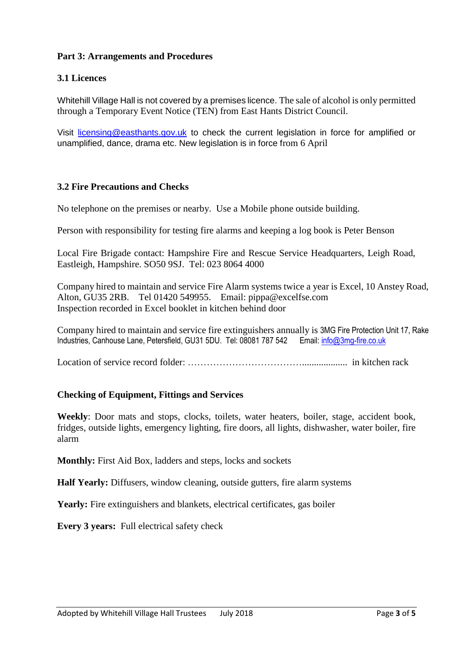## **Part 3: Arrangements and Procedures**

# **3.1 Licences**

Whitehill Village Hall is not covered by a premises licence. The sale of alcohol is only permitted through a Temporary Event Notice (TEN) from East Hants District Council.

Visit [licensing@easthants.gov.uk](mailto:licensing@easthants.gov.uk) to check the current legislation in force for amplified or unamplified, dance, drama etc. New legislation is in force from 6 April

## **3.2 Fire Precautions and Checks**

No telephone on the premises or nearby. Use a Mobile phone outside building.

Person with responsibility for testing fire alarms and keeping a log book is Peter Benson

Local Fire Brigade contact: Hampshire Fire and Rescue Service Headquarters, Leigh Road, Eastleigh, Hampshire. SO50 9SJ. Tel: 023 8064 4000

Company hired to maintain and service Fire Alarm systems twice a year is Excel, 10 Anstey Road, Alton, GU35 2RB. Tel 01420 549955. Email: pippa@excelfse.com Inspection recorded in Excel booklet in kitchen behind door

Company hired to maintain and service fire extinguishers annually is 3MG Fire Protection Unit 17, Rake Industries, Canhouse Lane, Petersfield, GU31 5DU. Tel: 08081 787 542 Email[: info@3mg-fire.co.uk](mailto:info@3mg-fire.co.uk)

Location of service record folder: ………………………………................... in kitchen rack

## **Checking of Equipment, Fittings and Services**

**Weekly**: Door mats and stops, clocks, toilets, water heaters, boiler, stage, accident book, fridges, outside lights, emergency lighting, fire doors, all lights, dishwasher, water boiler, fire alarm

**Monthly:** First Aid Box, ladders and steps, locks and sockets

**Half Yearly:** Diffusers, window cleaning, outside gutters, fire alarm systems

Yearly: Fire extinguishers and blankets, electrical certificates, gas boiler

**Every 3 years:** Full electrical safety check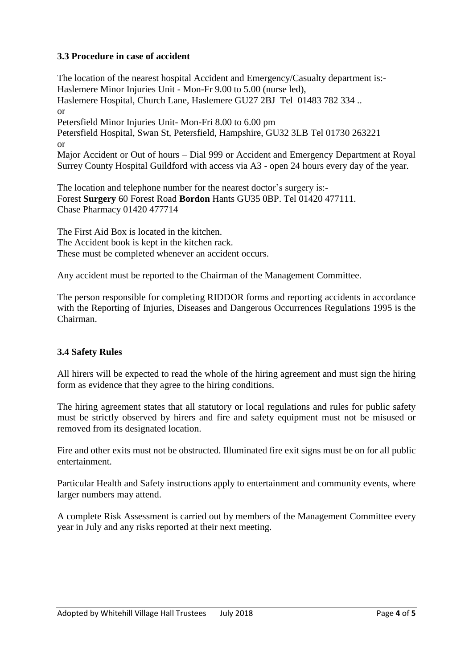## **3.3 Procedure in case of accident**

The location of the nearest hospital Accident and Emergency/Casualty department is:- Haslemere Minor Injuries Unit - Mon-Fr 9.00 to 5.00 (nurse led), Haslemere Hospital, Church Lane, Haslemere GU27 2BJ Tel 01483 782 334 .. or Petersfield Minor Injuries Unit- Mon-Fri 8.00 to 6.00 pm Petersfield Hospital, Swan St, Petersfield, Hampshire, GU32 3LB Tel 01730 263221 or Major Accident or Out of hours – Dial 999 or Accident and Emergency Department at Royal Surrey County Hospital Guildford with access via A3 - open 24 hours every day of the year.

The location and telephone number for the nearest doctor's surgery is:- Forest **Surgery** 60 Forest Road **Bordon** Hants GU35 0BP. Tel 01420 477111. Chase Pharmacy 01420 477714

The First Aid Box is located in the kitchen. The Accident book is kept in the kitchen rack. These must be completed whenever an accident occurs.

Any accident must be reported to the Chairman of the Management Committee.

The person responsible for completing RIDDOR forms and reporting accidents in accordance with the Reporting of Injuries, Diseases and Dangerous Occurrences Regulations 1995 is the Chairman.

## **3.4 Safety Rules**

All hirers will be expected to read the whole of the hiring agreement and must sign the hiring form as evidence that they agree to the hiring conditions.

The hiring agreement states that all statutory or local regulations and rules for public safety must be strictly observed by hirers and fire and safety equipment must not be misused or removed from its designated location.

Fire and other exits must not be obstructed. Illuminated fire exit signs must be on for all public entertainment.

Particular Health and Safety instructions apply to entertainment and community events, where larger numbers may attend.

A complete Risk Assessment is carried out by members of the Management Committee every year in July and any risks reported at their next meeting.